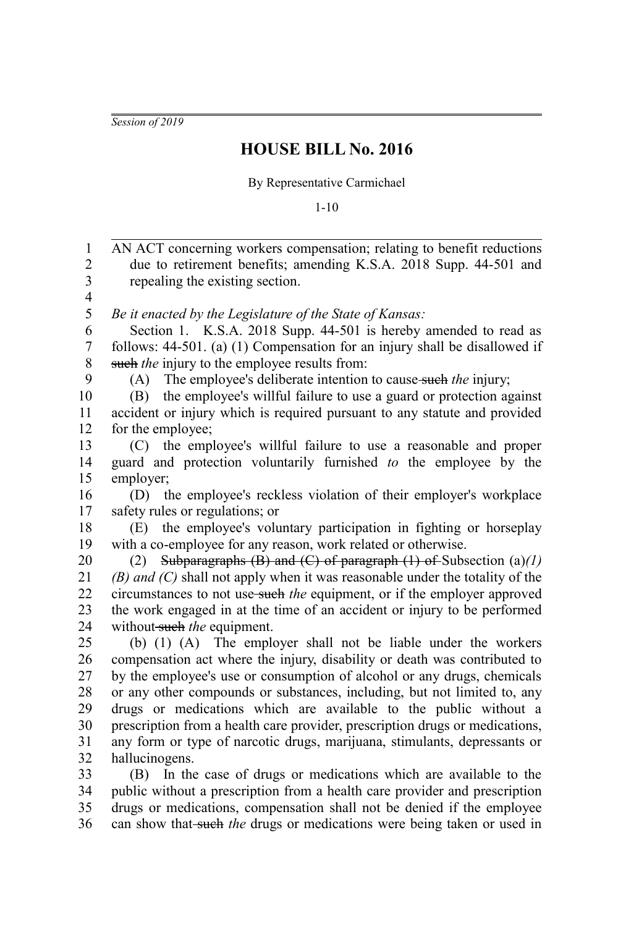*Session of 2019*

## **HOUSE BILL No. 2016**

By Representative Carmichael

1-10

AN ACT concerning workers compensation; relating to benefit reductions due to retirement benefits; amending K.S.A. 2018 Supp. 44-501 and repealing the existing section. *Be it enacted by the Legislature of the State of Kansas:* Section 1. K.S.A. 2018 Supp. 44-501 is hereby amended to read as follows: 44-501. (a) (1) Compensation for an injury shall be disallowed if such *the* injury to the employee results from: (A) The employee's deliberate intention to cause such *the* injury; (B) the employee's willful failure to use a guard or protection against accident or injury which is required pursuant to any statute and provided for the employee; (C) the employee's willful failure to use a reasonable and proper guard and protection voluntarily furnished *to* the employee by the employer; (D) the employee's reckless violation of their employer's workplace safety rules or regulations; or (E) the employee's voluntary participation in fighting or horseplay with a co-employee for any reason, work related or otherwise. (2) Subparagraphs (B) and (C) of paragraph (1) of Subsection (a)*(1) (B) and (C)* shall not apply when it was reasonable under the totality of the circumstances to not use such *the* equipment, or if the employer approved the work engaged in at the time of an accident or injury to be performed without such the equipment. (b) (1) (A) The employer shall not be liable under the workers compensation act where the injury, disability or death was contributed to by the employee's use or consumption of alcohol or any drugs, chemicals or any other compounds or substances, including, but not limited to, any drugs or medications which are available to the public without a prescription from a health care provider, prescription drugs or medications, any form or type of narcotic drugs, marijuana, stimulants, depressants or hallucinogens. (B) In the case of drugs or medications which are available to the public without a prescription from a health care provider and prescription drugs or medications, compensation shall not be denied if the employee 1 2 3 4 5 6 7 8 9 10 11 12 13 14 15 16 17 18 19 20 21 22 23 24 25 26 27 28 29 30 31 32 33 34 35

can show that-such the drugs or medications were being taken or used in 36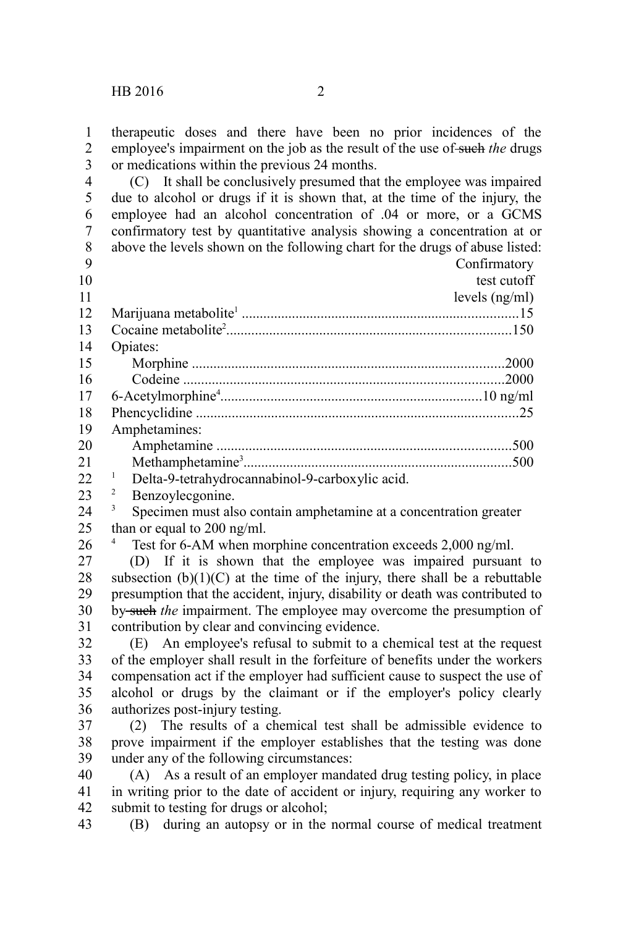therapeutic doses and there have been no prior incidences of the employee's impairment on the job as the result of the use of such the drugs or medications within the previous 24 months. 1 2 3

(C) It shall be conclusively presumed that the employee was impaired due to alcohol or drugs if it is shown that, at the time of the injury, the employee had an alcohol concentration of .04 or more, or a GCMS confirmatory test by quantitative analysis showing a concentration at or above the levels shown on the following chart for the drugs of abuse listed: 4 5 6 7 8

| 9              |                                                 | Confirmatory     |
|----------------|-------------------------------------------------|------------------|
| 10             |                                                 | test cutoff      |
| 11             |                                                 | levels $(ng/ml)$ |
| 12             |                                                 |                  |
| 13             |                                                 |                  |
| 14             | Opiates:                                        |                  |
| 15             |                                                 |                  |
| 16             |                                                 |                  |
| 17             |                                                 |                  |
| 18             |                                                 |                  |
| 19             | Amphetamines:                                   |                  |
| 20             |                                                 |                  |
| 21             |                                                 |                  |
| 22             | Delta-9-tetrahydrocannabinol-9-carboxylic acid. |                  |
| 2 <sub>2</sub> | 2<br>$D_{\alpha\alpha\gamma\alpha\gamma}$       |                  |

Benzoylecgonine. 23

26

<sup>3</sup> Specimen must also contain amphetamine at a concentration greater than or equal to 200 ng/ml. 24 25

Test for 6-AM when morphine concentration exceeds 2,000 ng/ml.

(D) If it is shown that the employee was impaired pursuant to subsection  $(b)(1)(C)$  at the time of the injury, there shall be a rebuttable presumption that the accident, injury, disability or death was contributed to by such *the* impairment. The employee may overcome the presumption of contribution by clear and convincing evidence. 27 28 29 30 31

(E) An employee's refusal to submit to a chemical test at the request of the employer shall result in the forfeiture of benefits under the workers compensation act if the employer had sufficient cause to suspect the use of alcohol or drugs by the claimant or if the employer's policy clearly authorizes post-injury testing. 32 33 34 35 36

(2) The results of a chemical test shall be admissible evidence to prove impairment if the employer establishes that the testing was done under any of the following circumstances: 37 38 39

(A) As a result of an employer mandated drug testing policy, in place in writing prior to the date of accident or injury, requiring any worker to submit to testing for drugs or alcohol; 40 41 42

(B) during an autopsy or in the normal course of medical treatment 43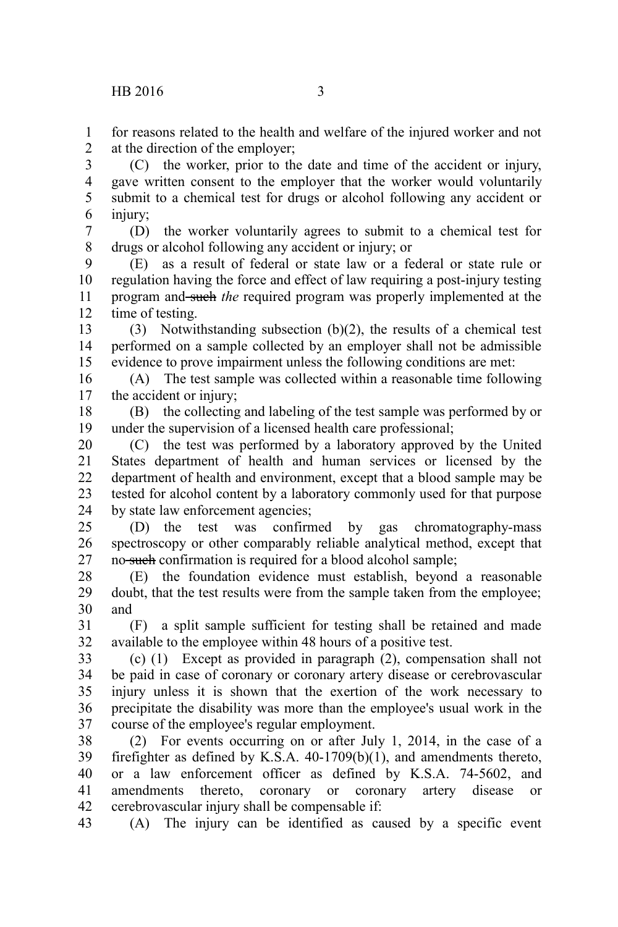for reasons related to the health and welfare of the injured worker and not at the direction of the employer; 1  $\mathcal{L}$ 

(C) the worker, prior to the date and time of the accident or injury, gave written consent to the employer that the worker would voluntarily submit to a chemical test for drugs or alcohol following any accident or injury; 3 4 5 6

(D) the worker voluntarily agrees to submit to a chemical test for drugs or alcohol following any accident or injury; or 7 8

(E) as a result of federal or state law or a federal or state rule or regulation having the force and effect of law requiring a post-injury testing program and such *the* required program was properly implemented at the time of testing. 9 10 11 12

(3) Notwithstanding subsection (b)(2), the results of a chemical test performed on a sample collected by an employer shall not be admissible evidence to prove impairment unless the following conditions are met: 13 14 15

(A) The test sample was collected within a reasonable time following the accident or injury; 16 17

(B) the collecting and labeling of the test sample was performed by or under the supervision of a licensed health care professional; 18 19

(C) the test was performed by a laboratory approved by the United States department of health and human services or licensed by the department of health and environment, except that a blood sample may be tested for alcohol content by a laboratory commonly used for that purpose by state law enforcement agencies; 20 21 22 23 24

(D) the test was confirmed by gas chromatography-mass spectroscopy or other comparably reliable analytical method, except that no such confirmation is required for a blood alcohol sample; 25 26 27

(E) the foundation evidence must establish, beyond a reasonable doubt, that the test results were from the sample taken from the employee; and 28 29 30

(F) a split sample sufficient for testing shall be retained and made available to the employee within 48 hours of a positive test. 31 32

(c) (1) Except as provided in paragraph (2), compensation shall not be paid in case of coronary or coronary artery disease or cerebrovascular injury unless it is shown that the exertion of the work necessary to precipitate the disability was more than the employee's usual work in the course of the employee's regular employment. 33 34 35 36 37

(2) For events occurring on or after July 1, 2014, in the case of a firefighter as defined by K.S.A. 40-1709(b)(1), and amendments thereto, or a law enforcement officer as defined by K.S.A. 74-5602, and amendments thereto, coronary or coronary artery disease or cerebrovascular injury shall be compensable if: 38 39 40 41 42

(A) The injury can be identified as caused by a specific event 43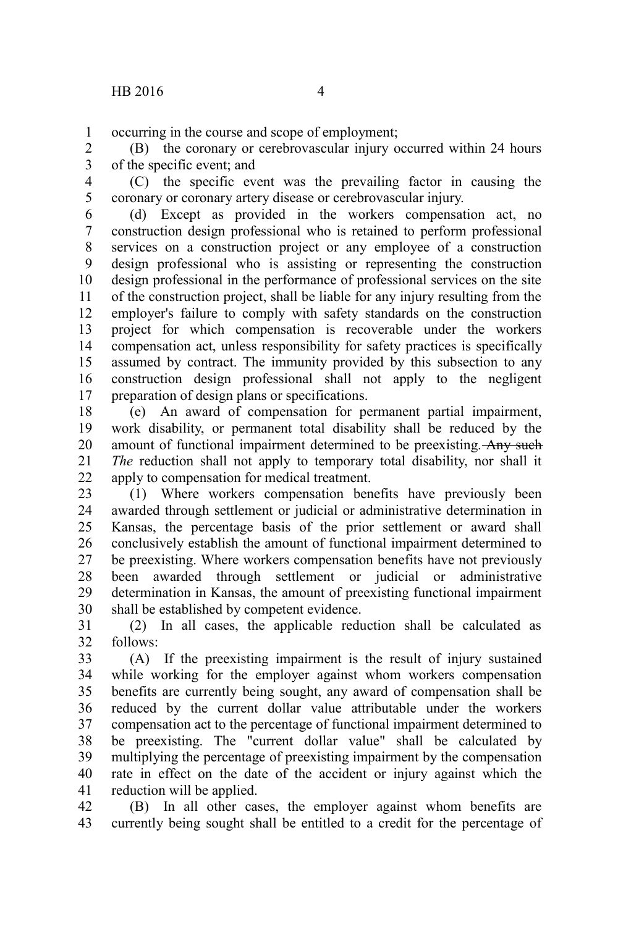occurring in the course and scope of employment; 1

(B) the coronary or cerebrovascular injury occurred within 24 hours of the specific event; and 2 3

(C) the specific event was the prevailing factor in causing the coronary or coronary artery disease or cerebrovascular injury. 4 5

(d) Except as provided in the workers compensation act, no construction design professional who is retained to perform professional services on a construction project or any employee of a construction design professional who is assisting or representing the construction design professional in the performance of professional services on the site of the construction project, shall be liable for any injury resulting from the employer's failure to comply with safety standards on the construction project for which compensation is recoverable under the workers compensation act, unless responsibility for safety practices is specifically assumed by contract. The immunity provided by this subsection to any construction design professional shall not apply to the negligent preparation of design plans or specifications. 6 7 8 9 10 11 12 13 14 15 16 17

(e) An award of compensation for permanent partial impairment, work disability, or permanent total disability shall be reduced by the amount of functional impairment determined to be preexisting. Any such *The* reduction shall not apply to temporary total disability, nor shall it apply to compensation for medical treatment. 18 19 20 21 22

(1) Where workers compensation benefits have previously been awarded through settlement or judicial or administrative determination in Kansas, the percentage basis of the prior settlement or award shall conclusively establish the amount of functional impairment determined to be preexisting. Where workers compensation benefits have not previously been awarded through settlement or judicial or administrative determination in Kansas, the amount of preexisting functional impairment shall be established by competent evidence. 23 24 25 26 27 28 29 30

(2) In all cases, the applicable reduction shall be calculated as follows: 31 32

(A) If the preexisting impairment is the result of injury sustained while working for the employer against whom workers compensation benefits are currently being sought, any award of compensation shall be reduced by the current dollar value attributable under the workers compensation act to the percentage of functional impairment determined to be preexisting. The "current dollar value" shall be calculated by multiplying the percentage of preexisting impairment by the compensation rate in effect on the date of the accident or injury against which the reduction will be applied. 33 34 35 36 37 38 39 40 41

(B) In all other cases, the employer against whom benefits are currently being sought shall be entitled to a credit for the percentage of 42 43